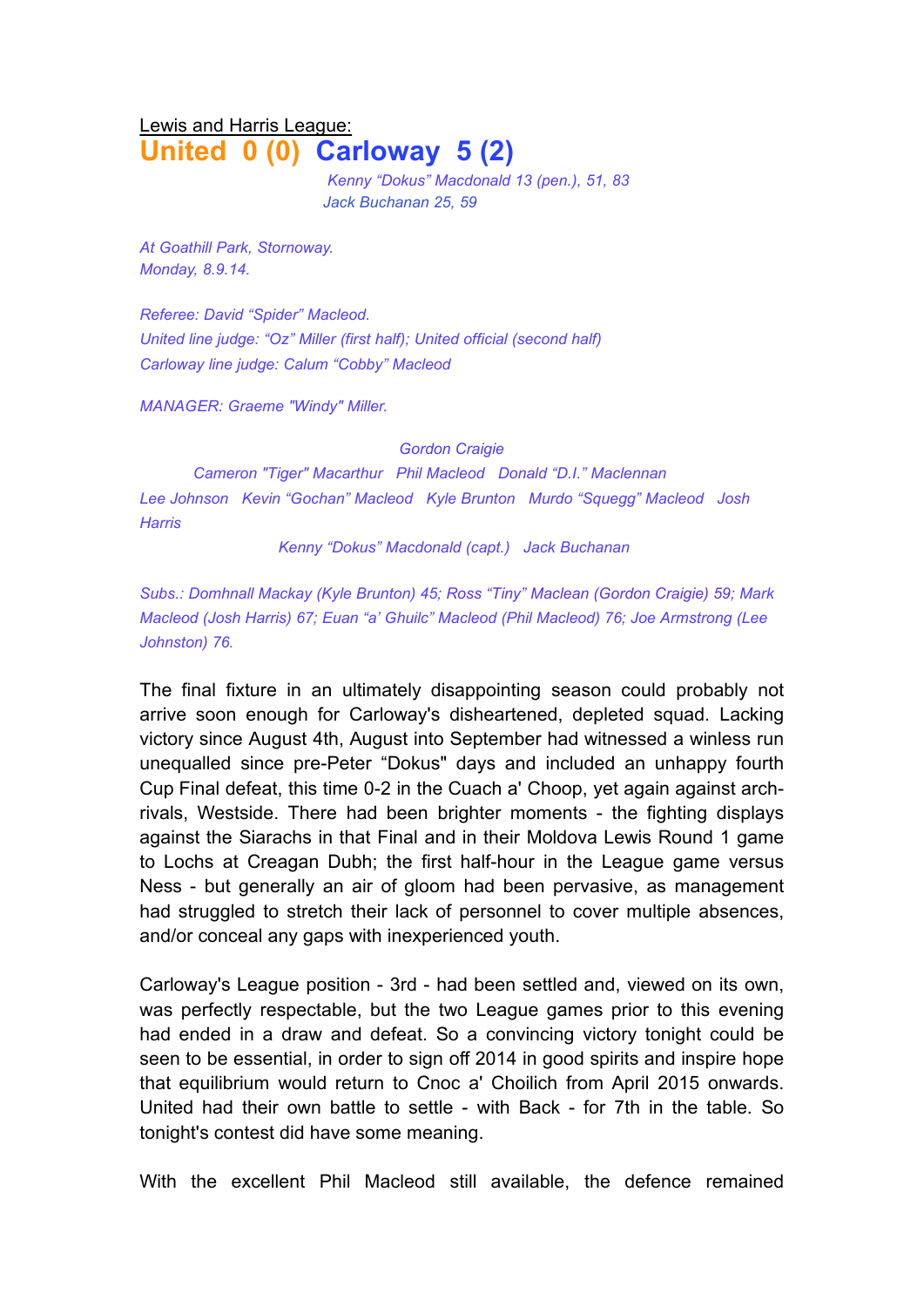## Lewis and Harris League: **United 0 (0) Carloway 5 (2)**

*Kenny "Dokus" Macdonald 13 (pen.), 51, 83 Jack Buchanan 25, 59*

*At Goathill Park, Stornoway. Monday, 8.9.14.*

*Referee: David "Spider" Macleod. United line judge: "Oz" Miller (first half); United official (second half) Carloway line judge: Calum "Cobby" Macleod*

*MANAGER: Graeme "Windy" Miller.* 

*Gordon Craigie*

*Cameron "Tiger" Macarthur Phil Macleod Donald "D.I." Maclennan Lee Johnson Kevin "Gochan" Macleod Kyle Brunton Murdo "Squegg" Macleod Josh Harris*

*Kenny "Dokus" Macdonald (capt.) Jack Buchanan*

*Subs.: Domhnall Mackay (Kyle Brunton) 45; Ross "Tiny" Maclean (Gordon Craigie) 59; Mark Macleod (Josh Harris) 67; Euan "a' Ghuilc" Macleod (Phil Macleod) 76; Joe Armstrong (Lee Johnston) 76.*

The final fixture in an ultimately disappointing season could probably not arrive soon enough for Carloway's disheartened, depleted squad. Lacking victory since August 4th, August into September had witnessed a winless run unequalled since pre-Peter "Dokus" days and included an unhappy fourth Cup Final defeat, this time 0-2 in the Cuach a' Choop, yet again against archrivals, Westside. There had been brighter moments - the fighting displays against the Siarachs in that Final and in their Moldova Lewis Round 1 game to Lochs at Creagan Dubh; the first half-hour in the League game versus Ness - but generally an air of gloom had been pervasive, as management had struggled to stretch their lack of personnel to cover multiple absences, and/or conceal any gaps with inexperienced youth.

Carloway's League position - 3rd - had been settled and, viewed on its own, was perfectly respectable, but the two League games prior to this evening had ended in a draw and defeat. So a convincing victory tonight could be seen to be essential, in order to sign off 2014 in good spirits and inspire hope that equilibrium would return to Cnoc a' Choilich from April 2015 onwards. United had their own battle to settle - with Back - for 7th in the table. So tonight's contest did have some meaning.

With the excellent Phil Macleod still available, the defence remained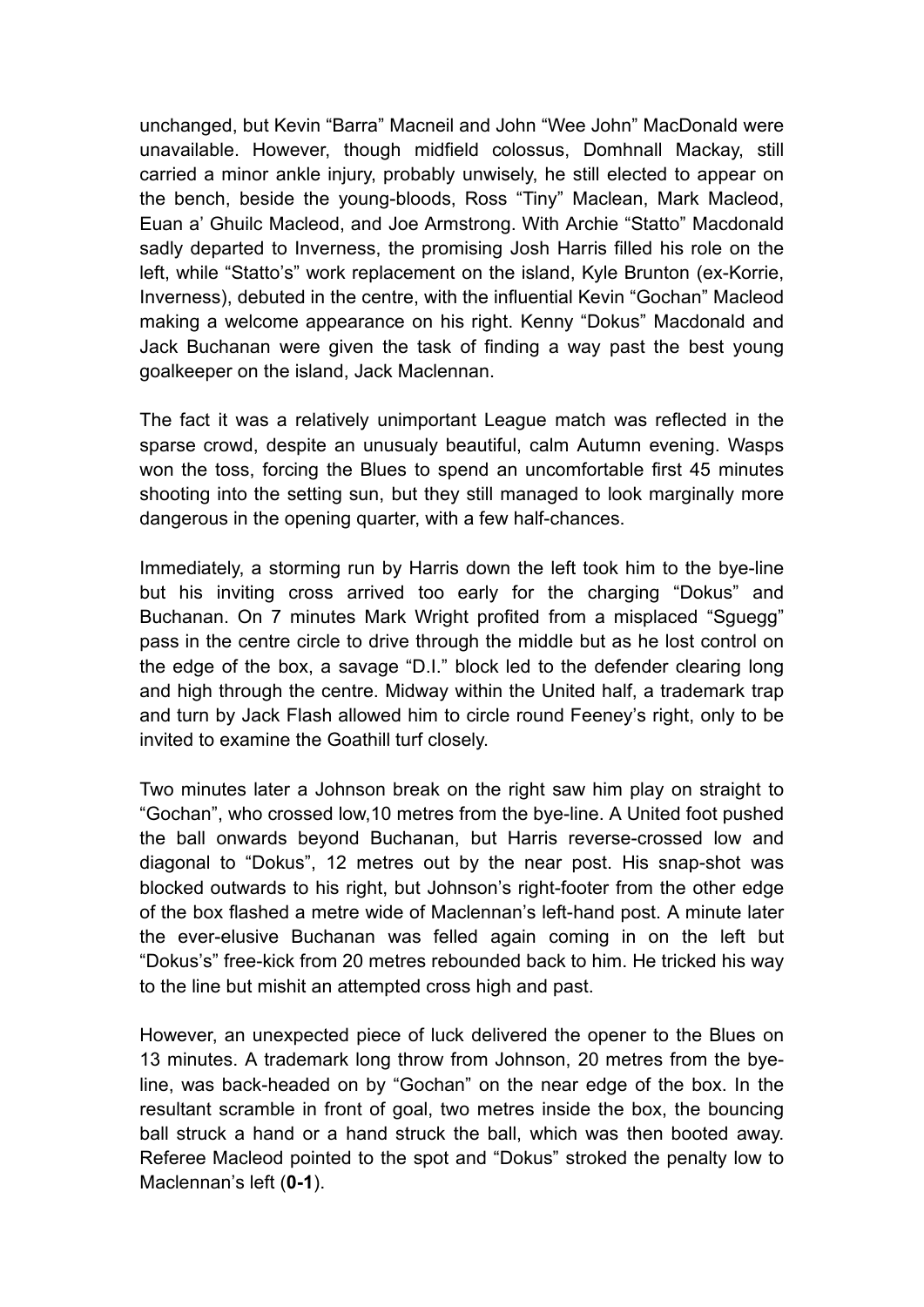unchanged, but Kevin "Barra" Macneil and John "Wee John" MacDonald were unavailable. However, though midfield colossus, Domhnall Mackay, still carried a minor ankle injury, probably unwisely, he still elected to appear on the bench, beside the young-bloods, Ross "Tiny" Maclean, Mark Macleod, Euan a' Ghuilc Macleod, and Joe Armstrong. With Archie "Statto" Macdonald sadly departed to Inverness, the promising Josh Harris filled his role on the left, while "Statto's" work replacement on the island, Kyle Brunton (ex-Korrie, Inverness), debuted in the centre, with the influential Kevin "Gochan" Macleod making a welcome appearance on his right. Kenny "Dokus" Macdonald and Jack Buchanan were given the task of finding a way past the best young goalkeeper on the island, Jack Maclennan.

The fact it was a relatively unimportant League match was reflected in the sparse crowd, despite an unusualy beautiful, calm Autumn evening. Wasps won the toss, forcing the Blues to spend an uncomfortable first 45 minutes shooting into the setting sun, but they still managed to look marginally more dangerous in the opening quarter, with a few half-chances.

Immediately, a storming run by Harris down the left took him to the bye-line but his inviting cross arrived too early for the charging "Dokus" and Buchanan. On 7 minutes Mark Wright profited from a misplaced "Sguegg" pass in the centre circle to drive through the middle but as he lost control on the edge of the box, a savage "D.I." block led to the defender clearing long and high through the centre. Midway within the United half, a trademark trap and turn by Jack Flash allowed him to circle round Feeney's right, only to be invited to examine the Goathill turf closely.

Two minutes later a Johnson break on the right saw him play on straight to "Gochan", who crossed low,10 metres from the bye-line. A United foot pushed the ball onwards beyond Buchanan, but Harris reverse-crossed low and diagonal to "Dokus", 12 metres out by the near post. His snap-shot was blocked outwards to his right, but Johnson's right-footer from the other edge of the box flashed a metre wide of Maclennan's left-hand post. A minute later the ever-elusive Buchanan was felled again coming in on the left but "Dokus's" free-kick from 20 metres rebounded back to him. He tricked his way to the line but mishit an attempted cross high and past.

However, an unexpected piece of luck delivered the opener to the Blues on 13 minutes. A trademark long throw from Johnson, 20 metres from the byeline, was back-headed on by "Gochan" on the near edge of the box. In the resultant scramble in front of goal, two metres inside the box, the bouncing ball struck a hand or a hand struck the ball, which was then booted away. Referee Macleod pointed to the spot and "Dokus" stroked the penalty low to Maclennan's left (**0-1**).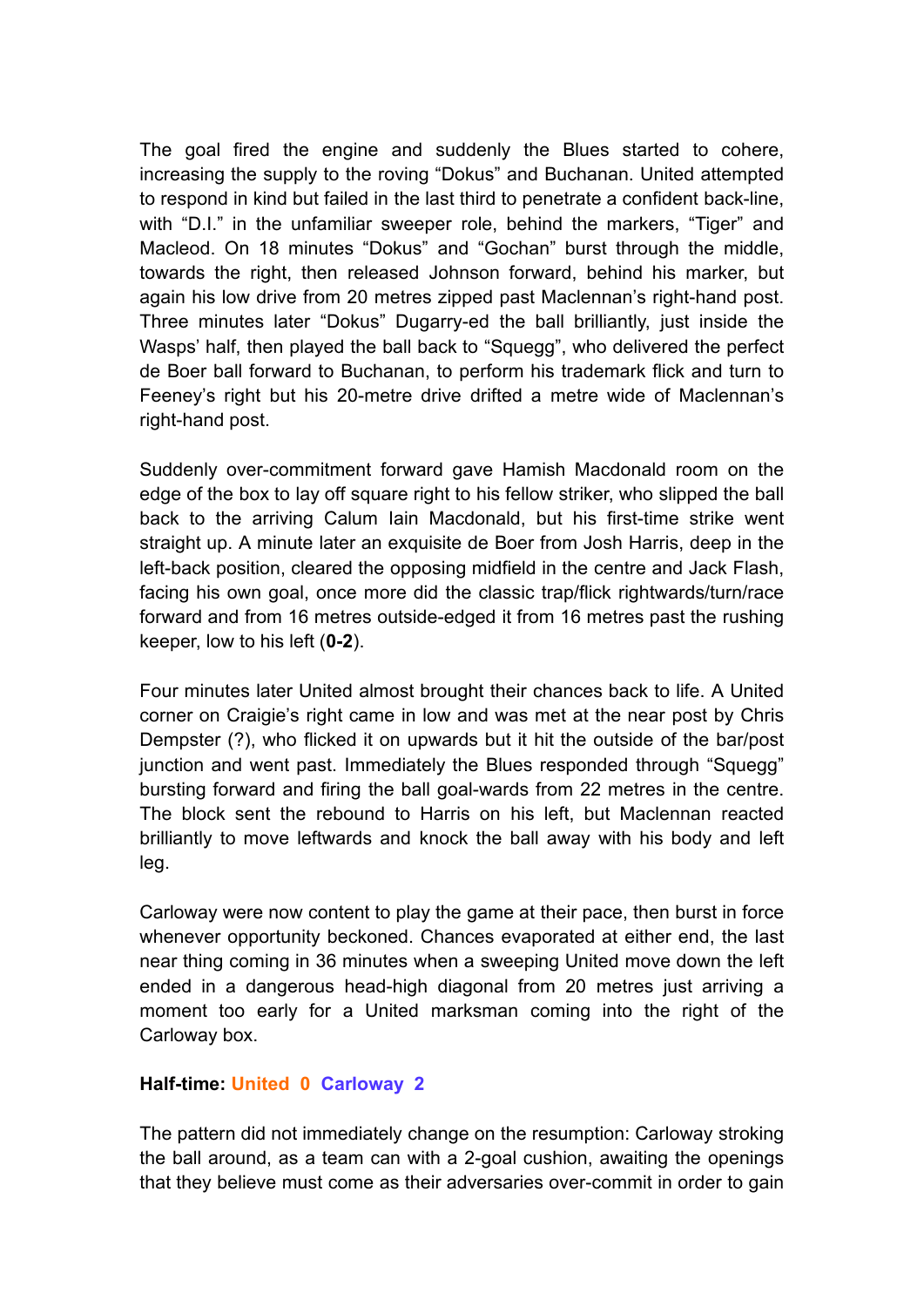The goal fired the engine and suddenly the Blues started to cohere, increasing the supply to the roving "Dokus" and Buchanan. United attempted to respond in kind but failed in the last third to penetrate a confident back-line, with "D.I." in the unfamiliar sweeper role, behind the markers, "Tiger" and Macleod. On 18 minutes "Dokus" and "Gochan" burst through the middle, towards the right, then released Johnson forward, behind his marker, but again his low drive from 20 metres zipped past Maclennan's right-hand post. Three minutes later "Dokus" Dugarry-ed the ball brilliantly, just inside the Wasps' half, then played the ball back to "Squegg", who delivered the perfect de Boer ball forward to Buchanan, to perform his trademark flick and turn to Feeney's right but his 20-metre drive drifted a metre wide of Maclennan's right-hand post.

Suddenly over-commitment forward gave Hamish Macdonald room on the edge of the box to lay off square right to his fellow striker, who slipped the ball back to the arriving Calum Iain Macdonald, but his first-time strike went straight up. A minute later an exquisite de Boer from Josh Harris, deep in the left-back position, cleared the opposing midfield in the centre and Jack Flash, facing his own goal, once more did the classic trap/flick rightwards/turn/race forward and from 16 metres outside-edged it from 16 metres past the rushing keeper, low to his left (**0-2**).

Four minutes later United almost brought their chances back to life. A United corner on Craigie's right came in low and was met at the near post by Chris Dempster (?), who flicked it on upwards but it hit the outside of the bar/post junction and went past. Immediately the Blues responded through "Squegg" bursting forward and firing the ball goal-wards from 22 metres in the centre. The block sent the rebound to Harris on his left, but Maclennan reacted brilliantly to move leftwards and knock the ball away with his body and left leg.

Carloway were now content to play the game at their pace, then burst in force whenever opportunity beckoned. Chances evaporated at either end, the last near thing coming in 36 minutes when a sweeping United move down the left ended in a dangerous head-high diagonal from 20 metres just arriving a moment too early for a United marksman coming into the right of the Carloway box.

## **Half-time: United 0 Carloway 2**

The pattern did not immediately change on the resumption: Carloway stroking the ball around, as a team can with a 2-goal cushion, awaiting the openings that they believe must come as their adversaries over-commit in order to gain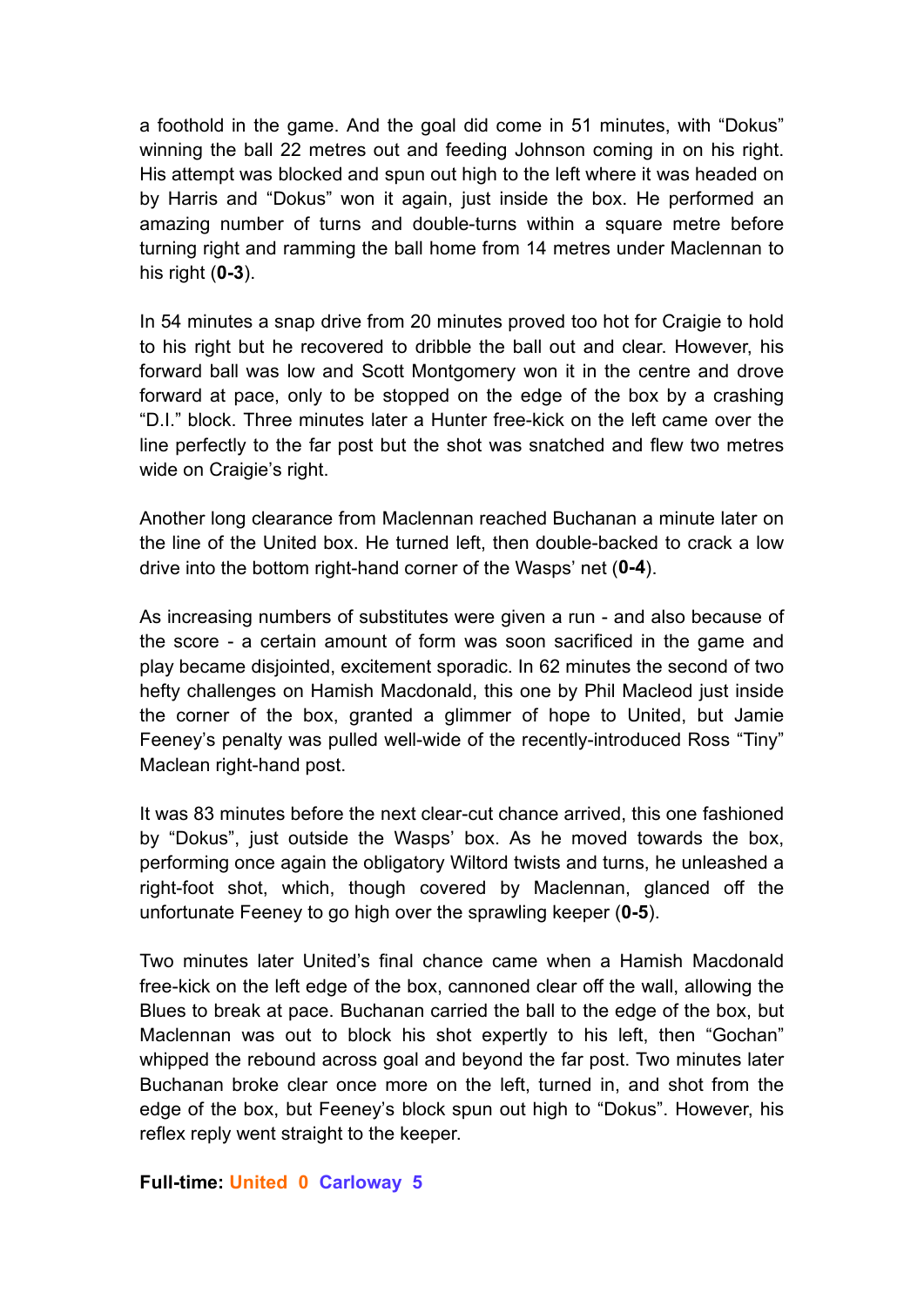a foothold in the game. And the goal did come in 51 minutes, with "Dokus" winning the ball 22 metres out and feeding Johnson coming in on his right. His attempt was blocked and spun out high to the left where it was headed on by Harris and "Dokus" won it again, just inside the box. He performed an amazing number of turns and double-turns within a square metre before turning right and ramming the ball home from 14 metres under Maclennan to his right (**0-3**).

In 54 minutes a snap drive from 20 minutes proved too hot for Craigie to hold to his right but he recovered to dribble the ball out and clear. However, his forward ball was low and Scott Montgomery won it in the centre and drove forward at pace, only to be stopped on the edge of the box by a crashing "D.I." block. Three minutes later a Hunter free-kick on the left came over the line perfectly to the far post but the shot was snatched and flew two metres wide on Craigie's right.

Another long clearance from Maclennan reached Buchanan a minute later on the line of the United box. He turned left, then double-backed to crack a low drive into the bottom right-hand corner of the Wasps' net (**0-4**).

As increasing numbers of substitutes were given a run - and also because of the score - a certain amount of form was soon sacrificed in the game and play became disjointed, excitement sporadic. In 62 minutes the second of two hefty challenges on Hamish Macdonald, this one by Phil Macleod just inside the corner of the box, granted a glimmer of hope to United, but Jamie Feeney's penalty was pulled well-wide of the recently-introduced Ross "Tiny" Maclean right-hand post.

It was 83 minutes before the next clear-cut chance arrived, this one fashioned by "Dokus", just outside the Wasps' box. As he moved towards the box, performing once again the obligatory Wiltord twists and turns, he unleashed a right-foot shot, which, though covered by Maclennan, glanced off the unfortunate Feeney to go high over the sprawling keeper (**0-5**).

Two minutes later United's final chance came when a Hamish Macdonald free-kick on the left edge of the box, cannoned clear off the wall, allowing the Blues to break at pace. Buchanan carried the ball to the edge of the box, but Maclennan was out to block his shot expertly to his left, then "Gochan" whipped the rebound across goal and beyond the far post. Two minutes later Buchanan broke clear once more on the left, turned in, and shot from the edge of the box, but Feeney's block spun out high to "Dokus". However, his reflex reply went straight to the keeper.

## **Full-time: United 0 Carloway 5**